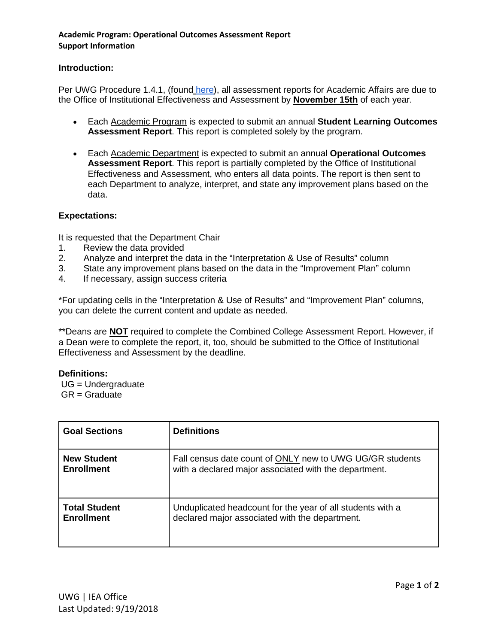## **Academic Program: Operational Outcomes Assessment Report Support Information**

## **Introduction:**

Per UWG Procedure 1.4.1, (found [here\)](https://www.westga.edu/administration/vpaa/iea/assessment-procedures.php), all assessment reports for Academic Affairs are due to the Office of Institutional Effectiveness and Assessment by **November 15th** of each year.

- Each Academic Program is expected to submit an annual **Student Learning Outcomes Assessment Report**. This report is completed solely by the program.
- Each Academic Department is expected to submit an annual **Operational Outcomes Assessment Report**. This report is partially completed by the Office of Institutional Effectiveness and Assessment, who enters all data points. The report is then sent to each Department to analyze, interpret, and state any improvement plans based on the data.

## **Expectations:**

It is requested that the Department Chair

- 1. Review the data provided
- 2. Analyze and interpret the data in the "Interpretation & Use of Results" column
- 3. State any improvement plans based on the data in the "Improvement Plan" column
- 4. If necessary, assign success criteria

\*For updating cells in the "Interpretation & Use of Results" and "Improvement Plan" columns, you can delete the current content and update as needed.

\*\*Deans are **NOT** required to complete the Combined College Assessment Report. However, if a Dean were to complete the report, it, too, should be submitted to the Office of Institutional Effectiveness and Assessment by the deadline.

## **Definitions:**

UG = Undergraduate  $GR =$  Graduate

| <b>Goal Sections</b> | <b>Definitions</b>                                         |
|----------------------|------------------------------------------------------------|
| <b>New Student</b>   | Fall census date count of ONLY new to UWG UG/GR students   |
| <b>Enrollment</b>    | with a declared major associated with the department.      |
| <b>Total Student</b> | Unduplicated headcount for the year of all students with a |
| <b>Enrollment</b>    | declared major associated with the department.             |